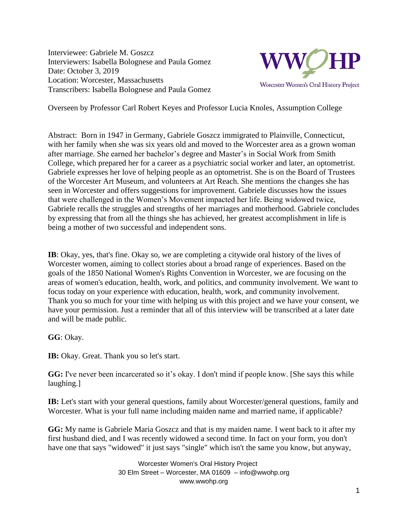Interviewee: Gabriele M. Goszcz Interviewers: Isabella Bolognese and Paula Gomez Date: October 3, 2019 Location: Worcester, Massachusetts Transcribers: Isabella Bolognese and Paula Gomez



Overseen by Professor Carl Robert Keyes and Professor Lucia Knoles, Assumption College

Abstract: Born in 1947 in Germany, Gabriele Goszcz immigrated to Plainville, Connecticut, with her family when she was six years old and moved to the Worcester area as a grown woman after marriage. She earned her bachelor's degree and Master's in Social Work from Smith College, which prepared her for a career as a psychiatric social worker and later, an optometrist. Gabriele expresses her love of helping people as an optometrist. She is on the Board of Trustees of the Worcester Art Museum, and volunteers at Art Reach. She mentions the changes she has seen in Worcester and offers suggestions for improvement. Gabriele discusses how the issues that were challenged in the Women's Movement impacted her life. Being widowed twice, Gabriele recalls the struggles and strengths of her marriages and motherhood. Gabriele concludes by expressing that from all the things she has achieved, her greatest accomplishment in life is being a mother of two successful and independent sons.

**IB**: Okay, yes, that's fine. Okay so, we are completing a citywide oral history of the lives of Worcester women, aiming to collect stories about a broad range of experiences. Based on the goals of the 1850 National Women's Rights Convention in Worcester, we are focusing on the areas of women's education, health, work, and politics, and community involvement. We want to focus today on your experience with education, health, work, and community involvement. Thank you so much for your time with helping us with this project and we have your consent, we have your permission. Just a reminder that all of this interview will be transcribed at a later date and will be made public.

**GG**: Okay.

**IB:** Okay. Great. Thank you so let's start.

**GG:** I've never been incarcerated so it's okay. I don't mind if people know. [She says this while laughing.]

**IB:** Let's start with your general questions, family about Worcester/general questions, family and Worcester. What is your full name including maiden name and married name, if applicable?

**GG:** My name is Gabriele Maria Goszcz and that is my maiden name. I went back to it after my first husband died, and I was recently widowed a second time. In fact on your form, you don't have one that says "widowed" it just says "single" which isn't the same you know, but anyway,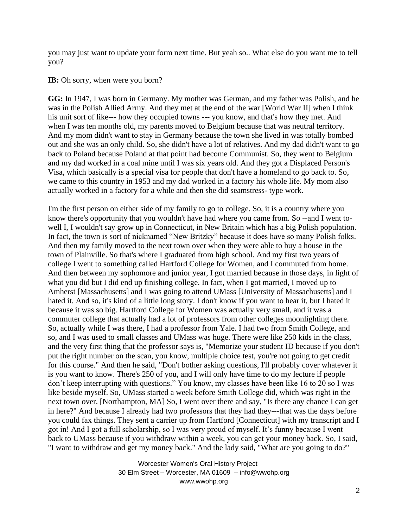you may just want to update your form next time. But yeah so.. What else do you want me to tell you?

## **IB:** Oh sorry, when were you born?

**GG:** In 1947, I was born in Germany. My mother was German, and my father was Polish, and he was in the Polish Allied Army. And they met at the end of the war [World War II] when I think his unit sort of like--- how they occupied towns --- you know, and that's how they met. And when I was ten months old, my parents moved to Belgium because that was neutral territory. And my mom didn't want to stay in Germany because the town she lived in was totally bombed out and she was an only child. So, she didn't have a lot of relatives. And my dad didn't want to go back to Poland because Poland at that point had become Communist. So, they went to Belgium and my dad worked in a coal mine until I was six years old. And they got a Displaced Person's Visa, which basically is a special visa for people that don't have a homeland to go back to. So, we came to this country in 1953 and my dad worked in a factory his whole life. My mom also actually worked in a factory for a while and then she did seamstress- type work.

I'm the first person on either side of my family to go to college. So, it is a country where you know there's opportunity that you wouldn't have had where you came from. So --and I went towell I, I wouldn't say grow up in Connecticut, in New Britain which has a big Polish population. In fact, the town is sort of nicknamed "New Britzky" because it does have so many Polish folks. And then my family moved to the next town over when they were able to buy a house in the town of Plainville. So that's where I graduated from high school. And my first two years of college I went to something called Hartford College for Women, and I commuted from home. And then between my sophomore and junior year, I got married because in those days, in light of what you did but I did end up finishing college. In fact, when I got married, I moved up to Amherst [Massachusetts] and I was going to attend UMass [University of Massachusetts] and I hated it. And so, it's kind of a little long story. I don't know if you want to hear it, but I hated it because it was so big. Hartford College for Women was actually very small, and it was a commuter college that actually had a lot of professors from other colleges moonlighting there. So, actually while I was there, I had a professor from Yale. I had two from Smith College, and so, and I was used to small classes and UMass was huge. There were like 250 kids in the class, and the very first thing that the professor says is, "Memorize your student ID because if you don't put the right number on the scan, you know, multiple choice test, you're not going to get credit for this course." And then he said, "Don't bother asking questions, I'll probably cover whatever it is you want to know. There's 250 of you, and I will only have time to do my lecture if people don't keep interrupting with questions." You know, my classes have been like 16 to 20 so I was like beside myself. So, UMass started a week before Smith College did, which was right in the next town over. [Northampton, MA] So, I went over there and say, "Is there any chance I can get in here?" And because I already had two professors that they had they---that was the days before you could fax things. They sent a carrier up from Hartford [Connecticut] with my transcript and I got in! And I got a full scholarship, so I was very proud of myself. It's funny because I went back to UMass because if you withdraw within a week, you can get your money back. So, I said, "I want to withdraw and get my money back." And the lady said, "What are you going to do?"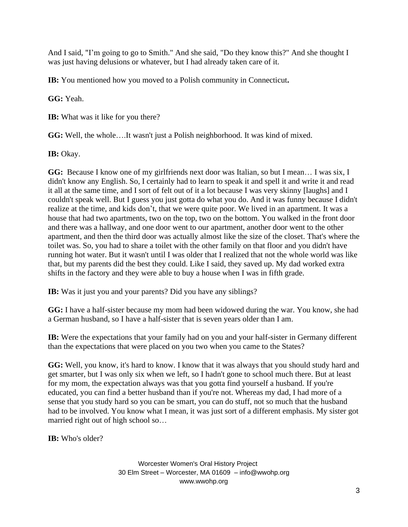And I said, "I'm going to go to Smith." And she said, "Do they know this?" And she thought I was just having delusions or whatever, but I had already taken care of it.

**IB:** You mentioned how you moved to a Polish community in Connecticut**.**

**GG:** Yeah.

**IB:** What was it like for you there?

**GG:** Well, the whole….It wasn't just a Polish neighborhood. It was kind of mixed.

IB: Okay.

GG: Because I know one of my girlfriends next door was Italian, so but I mean... I was six, I didn't know any English. So, I certainly had to learn to speak it and spell it and write it and read it all at the same time, and I sort of felt out of it a lot because I was very skinny [laughs] and I couldn't speak well. But I guess you just gotta do what you do. And it was funny because I didn't realize at the time, and kids don't, that we were quite poor. We lived in an apartment. It was a house that had two apartments, two on the top, two on the bottom. You walked in the front door and there was a hallway, and one door went to our apartment, another door went to the other apartment, and then the third door was actually almost like the size of the closet. That's where the toilet was. So, you had to share a toilet with the other family on that floor and you didn't have running hot water. But it wasn't until I was older that I realized that not the whole world was like that, but my parents did the best they could. Like I said, they saved up. My dad worked extra shifts in the factory and they were able to buy a house when I was in fifth grade.

**IB:** Was it just you and your parents? Did you have any siblings?

**GG:** I have a half-sister because my mom had been widowed during the war. You know, she had a German husband, so I have a half-sister that is seven years older than I am.

**IB:** Were the expectations that your family had on you and your half-sister in Germany different than the expectations that were placed on you two when you came to the States?

**GG:** Well, you know, it's hard to know. I know that it was always that you should study hard and get smarter, but I was only six when we left, so I hadn't gone to school much there. But at least for my mom, the expectation always was that you gotta find yourself a husband. If you're educated, you can find a better husband than if you're not. Whereas my dad, I had more of a sense that you study hard so you can be smart, you can do stuff, not so much that the husband had to be involved. You know what I mean, it was just sort of a different emphasis. My sister got married right out of high school so…

**IB:** Who's older?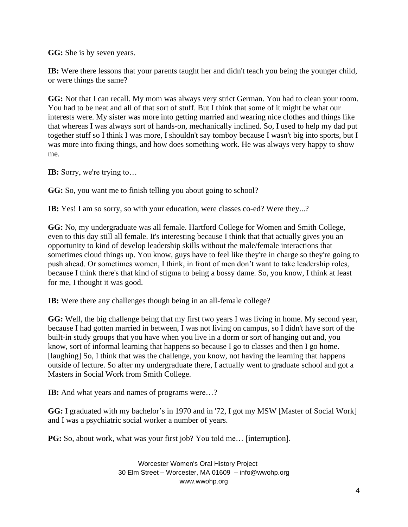**GG:** She is by seven years.

**IB:** Were there lessons that your parents taught her and didn't teach you being the younger child, or were things the same?

**GG:** Not that I can recall. My mom was always very strict German. You had to clean your room. You had to be neat and all of that sort of stuff. But I think that some of it might be what our interests were. My sister was more into getting married and wearing nice clothes and things like that whereas I was always sort of hands-on, mechanically inclined. So, I used to help my dad put together stuff so I think I was more, I shouldn't say tomboy because I wasn't big into sports, but I was more into fixing things, and how does something work. He was always very happy to show me.

**IB:** Sorry, we're trying to…

**GG:** So, you want me to finish telling you about going to school?

**IB:** Yes! I am so sorry, so with your education, were classes co-ed? Were they...?

**GG:** No, my undergraduate was all female. Hartford College for Women and Smith College, even to this day still all female. It's interesting because I think that that actually gives you an opportunity to kind of develop leadership skills without the male/female interactions that sometimes cloud things up. You know, guys have to feel like they're in charge so they're going to push ahead. Or sometimes women, I think, in front of men don't want to take leadership roles, because I think there's that kind of stigma to being a bossy dame. So, you know, I think at least for me, I thought it was good.

**IB:** Were there any challenges though being in an all-female college?

**GG:** Well, the big challenge being that my first two years I was living in home. My second year, because I had gotten married in between, I was not living on campus, so I didn't have sort of the built-in study groups that you have when you live in a dorm or sort of hanging out and, you know, sort of informal learning that happens so because I go to classes and then I go home. [laughing] So, I think that was the challenge, you know, not having the learning that happens outside of lecture. So after my undergraduate there, I actually went to graduate school and got a Masters in Social Work from Smith College.

**IB:** And what years and names of programs were...?

**GG:** I graduated with my bachelor's in 1970 and in '72, I got my MSW [Master of Social Work] and I was a psychiatric social worker a number of years.

**PG:** So, about work, what was your first job? You told me… [interruption].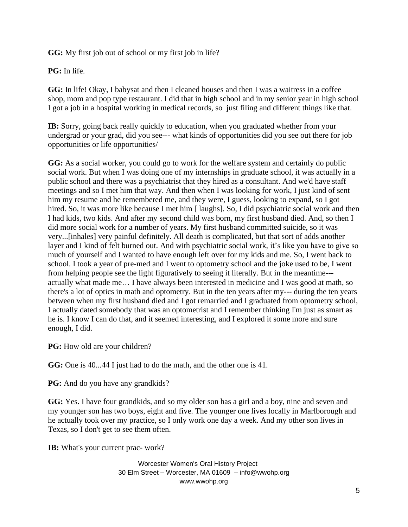**GG:** My first job out of school or my first job in life?

**PG:** In life.

**GG:** In life! Okay, I babysat and then I cleaned houses and then I was a waitress in a coffee shop, mom and pop type restaurant. I did that in high school and in my senior year in high school I got a job in a hospital working in medical records, so just filing and different things like that.

**IB:** Sorry, going back really quickly to education, when you graduated whether from your undergrad or your grad, did you see--- what kinds of opportunities did you see out there for job opportunities or life opportunities/

**GG:** As a social worker, you could go to work for the welfare system and certainly do public social work. But when I was doing one of my internships in graduate school, it was actually in a public school and there was a psychiatrist that they hired as a consultant. And we'd have staff meetings and so I met him that way. And then when I was looking for work, I just kind of sent him my resume and he remembered me, and they were, I guess, looking to expand, so I got hired. So, it was more like because I met him [ laughs]. So, I did psychiatric social work and then I had kids, two kids. And after my second child was born, my first husband died. And, so then I did more social work for a number of years. My first husband committed suicide, so it was very...[inhales] very painful definitely. All death is complicated, but that sort of adds another layer and I kind of felt burned out. And with psychiatric social work, it's like you have to give so much of yourself and I wanted to have enough left over for my kids and me. So, I went back to school. I took a year of pre-med and I went to optometry school and the joke used to be, I went from helping people see the light figuratively to seeing it literally. But in the meantime-- actually what made me… I have always been interested in medicine and I was good at math, so there's a lot of optics in math and optometry. But in the ten years after my--- during the ten years between when my first husband died and I got remarried and I graduated from optometry school, I actually dated somebody that was an optometrist and I remember thinking I'm just as smart as he is. I know I can do that, and it seemed interesting, and I explored it some more and sure enough, I did.

**PG:** How old are your children?

**GG:** One is 40...44 I just had to do the math, and the other one is 41.

**PG:** And do you have any grandkids?

**GG:** Yes. I have four grandkids, and so my older son has a girl and a boy, nine and seven and my younger son has two boys, eight and five. The younger one lives locally in Marlborough and he actually took over my practice, so I only work one day a week. And my other son lives in Texas, so I don't get to see them often.

**IB:** What's your current prac- work?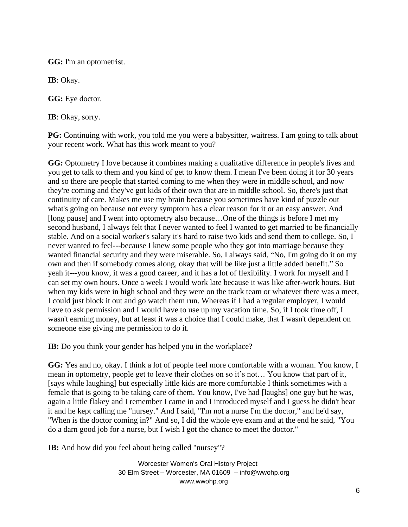**GG:** I'm an optometrist.

**IB**: Okay.

**GG:** Eye doctor.

**IB**: Okay, sorry.

**PG:** Continuing with work, you told me you were a babysitter, waitress. I am going to talk about your recent work. What has this work meant to you?

**GG:** Optometry I love because it combines making a qualitative difference in people's lives and you get to talk to them and you kind of get to know them. I mean I've been doing it for 30 years and so there are people that started coming to me when they were in middle school, and now they're coming and they've got kids of their own that are in middle school. So, there's just that continuity of care. Makes me use my brain because you sometimes have kind of puzzle out what's going on because not every symptom has a clear reason for it or an easy answer. And [long pause] and I went into optometry also because…One of the things is before I met my second husband, I always felt that I never wanted to feel I wanted to get married to be financially stable. And on a social worker's salary it's hard to raise two kids and send them to college. So, I never wanted to feel---because I knew some people who they got into marriage because they wanted financial security and they were miserable. So, I always said, "No, I'm going do it on my own and then if somebody comes along, okay that will be like just a little added benefit." So yeah it---you know, it was a good career, and it has a lot of flexibility. I work for myself and I can set my own hours. Once a week I would work late because it was like after-work hours. But when my kids were in high school and they were on the track team or whatever there was a meet, I could just block it out and go watch them run. Whereas if I had a regular employer, I would have to ask permission and I would have to use up my vacation time. So, if I took time off, I wasn't earning money, but at least it was a choice that I could make, that I wasn't dependent on someone else giving me permission to do it.

**IB:** Do you think your gender has helped you in the workplace?

**GG:** Yes and no, okay. I think a lot of people feel more comfortable with a woman. You know, I mean in optometry, people get to leave their clothes on so it's not… You know that part of it, [says while laughing] but especially little kids are more comfortable I think sometimes with a female that is going to be taking care of them. You know, I've had [laughs] one guy but he was, again a little flakey and I remember I came in and I introduced myself and I guess he didn't hear it and he kept calling me "nursey." And I said, "I'm not a nurse I'm the doctor," and he'd say, "When is the doctor coming in?" And so, I did the whole eye exam and at the end he said, "You do a darn good job for a nurse, but I wish I got the chance to meet the doctor."

**IB:** And how did you feel about being called "nursey"?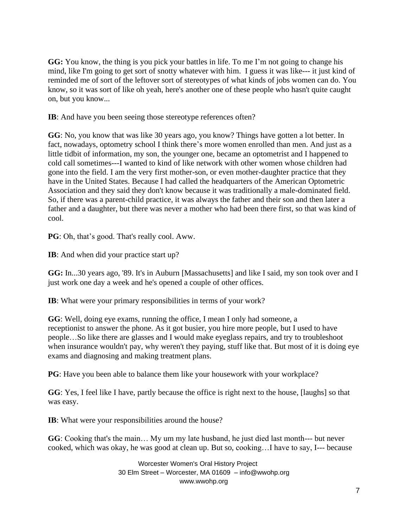**GG:** You know, the thing is you pick your battles in life. To me I'm not going to change his mind, like I'm going to get sort of snotty whatever with him. I guess it was like--- it just kind of reminded me of sort of the leftover sort of stereotypes of what kinds of jobs women can do. You know, so it was sort of like oh yeah, here's another one of these people who hasn't quite caught on, but you know...

**IB**: And have you been seeing those stereotype references often?

**GG**: No, you know that was like 30 years ago, you know? Things have gotten a lot better. In fact, nowadays, optometry school I think there's more women enrolled than men. And just as a little tidbit of information, my son, the younger one, became an optometrist and I happened to cold call sometimes---I wanted to kind of like network with other women whose children had gone into the field. I am the very first mother-son, or even mother-daughter practice that they have in the United States. Because I had called the headquarters of the American Optometric Association and they said they don't know because it was traditionally a male-dominated field. So, if there was a parent-child practice, it was always the father and their son and then later a father and a daughter, but there was never a mother who had been there first, so that was kind of cool.

**PG**: Oh, that's good. That's really cool. Aww.

**IB**: And when did your practice start up?

**GG:** In...30 years ago, '89. It's in Auburn [Massachusetts] and like I said, my son took over and I just work one day a week and he's opened a couple of other offices.

**IB**: What were your primary responsibilities in terms of your work?

**GG**: Well, doing eye exams, running the office, I mean I only had someone, a receptionist to answer the phone. As it got busier, you hire more people, but I used to have people…So like there are glasses and I would make eyeglass repairs, and try to troubleshoot when insurance wouldn't pay, why weren't they paying, stuff like that. But most of it is doing eye exams and diagnosing and making treatment plans.

**PG**: Have you been able to balance them like your housework with your workplace?

**GG**: Yes, I feel like I have, partly because the office is right next to the house, [laughs] so that was easy.

**IB**: What were your responsibilities around the house?

**GG**: Cooking that's the main… My um my late husband, he just died last month--- but never cooked, which was okay, he was good at clean up. But so, cooking…I have to say, I--- because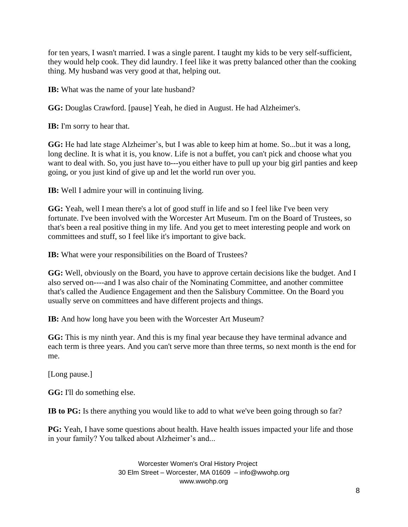for ten years, I wasn't married. I was a single parent. I taught my kids to be very self-sufficient, they would help cook. They did laundry. I feel like it was pretty balanced other than the cooking thing. My husband was very good at that, helping out.

**IB:** What was the name of your late husband?

**GG:** Douglas Crawford. [pause] Yeah, he died in August. He had Alzheimer's.

**IB:** I'm sorry to hear that.

**GG:** He had late stage Alzheimer's, but I was able to keep him at home. So...but it was a long, long decline. It is what it is, you know. Life is not a buffet, you can't pick and choose what you want to deal with. So, you just have to---you either have to pull up your big girl panties and keep going, or you just kind of give up and let the world run over you.

**IB:** Well I admire your will in continuing living.

**GG:** Yeah, well I mean there's a lot of good stuff in life and so I feel like I've been very fortunate. I've been involved with the Worcester Art Museum. I'm on the Board of Trustees, so that's been a real positive thing in my life. And you get to meet interesting people and work on committees and stuff, so I feel like it's important to give back.

**IB:** What were your responsibilities on the Board of Trustees?

**GG:** Well, obviously on the Board, you have to approve certain decisions like the budget. And I also served on----and I was also chair of the Nominating Committee, and another committee that's called the Audience Engagement and then the Salisbury Committee. On the Board you usually serve on committees and have different projects and things.

**IB:** And how long have you been with the Worcester Art Museum?

**GG:** This is my ninth year. And this is my final year because they have terminal advance and each term is three years. And you can't serve more than three terms, so next month is the end for me.

[Long pause.]

**GG:** I'll do something else.

**IB to PG:** Is there anything you would like to add to what we've been going through so far?

**PG:** Yeah, I have some questions about health. Have health issues impacted your life and those in your family? You talked about Alzheimer's and...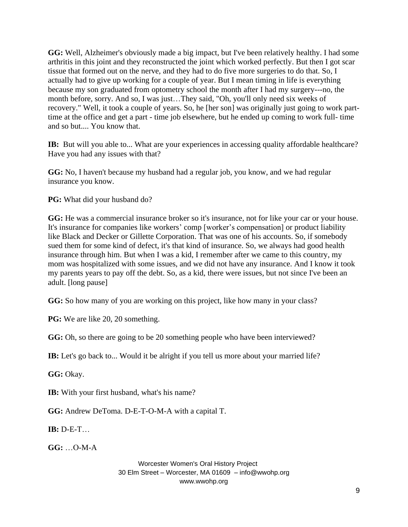**GG:** Well, Alzheimer's obviously made a big impact, but I've been relatively healthy. I had some arthritis in this joint and they reconstructed the joint which worked perfectly. But then I got scar tissue that formed out on the nerve, and they had to do five more surgeries to do that. So, I actually had to give up working for a couple of year. But I mean timing in life is everything because my son graduated from optometry school the month after I had my surgery---no, the month before, sorry. And so, I was just…They said, "Oh, you'll only need six weeks of recovery." Well, it took a couple of years. So, he [her son] was originally just going to work parttime at the office and get a part - time job elsewhere, but he ended up coming to work full- time and so but.... You know that.

**IB:** But will you able to... What are your experiences in accessing quality affordable healthcare? Have you had any issues with that?

**GG:** No, I haven't because my husband had a regular job, you know, and we had regular insurance you know.

PG: What did your husband do?

**GG:** He was a commercial insurance broker so it's insurance, not for like your car or your house. It's insurance for companies like workers' comp [worker's compensation] or product liability like Black and Decker or Gillette Corporation. That was one of his accounts. So, if somebody sued them for some kind of defect, it's that kind of insurance. So, we always had good health insurance through him. But when I was a kid, I remember after we came to this country, my mom was hospitalized with some issues, and we did not have any insurance. And I know it took my parents years to pay off the debt. So, as a kid, there were issues, but not since I've been an adult. [long pause]

**GG:** So how many of you are working on this project, like how many in your class?

**PG:** We are like 20, 20 something.

**GG:** Oh, so there are going to be 20 something people who have been interviewed?

**IB:** Let's go back to... Would it be alright if you tell us more about your married life?

**GG:** Okay.

**IB:** With your first husband, what's his name?

**GG:** Andrew DeToma. D-E-T-O-M-A with a capital T.

**IB:** D-E-T…

**GG:** …O-M-A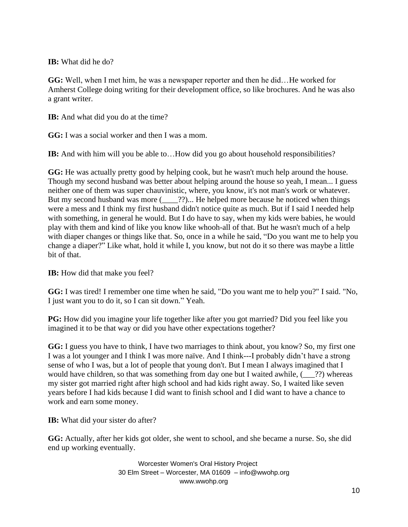## **IB:** What did he do?

**GG:** Well, when I met him, he was a newspaper reporter and then he did…He worked for Amherst College doing writing for their development office, so like brochures. And he was also a grant writer.

**IB:** And what did you do at the time?

**GG:** I was a social worker and then I was a mom.

**IB:** And with him will you be able to...How did you go about household responsibilities?

**GG:** He was actually pretty good by helping cook, but he wasn't much help around the house. Though my second husband was better about helping around the house so yeah, I mean... I guess neither one of them was super chauvinistic, where, you know, it's not man's work or whatever. But my second husband was more (2002)... He helped more because he noticed when things were a mess and I think my first husband didn't notice quite as much. But if I said I needed help with something, in general he would. But I do have to say, when my kids were babies, he would play with them and kind of like you know like whooh-all of that. But he wasn't much of a help with diaper changes or things like that. So, once in a while he said, "Do you want me to help you change a diaper?" Like what, hold it while I, you know, but not do it so there was maybe a little bit of that.

**IB:** How did that make you feel?

**GG:** I was tired! I remember one time when he said, "Do you want me to help you?" I said. "No, I just want you to do it, so I can sit down." Yeah.

**PG:** How did you imagine your life together like after you got married? Did you feel like you imagined it to be that way or did you have other expectations together?

**GG:** I guess you have to think, I have two marriages to think about, you know? So, my first one I was a lot younger and I think I was more naïve. And I think---I probably didn't have a strong sense of who I was, but a lot of people that young don't. But I mean I always imagined that I would have children, so that was something from day one but I waited awhile,  $(2)$ ?) whereas my sister got married right after high school and had kids right away. So, I waited like seven years before I had kids because I did want to finish school and I did want to have a chance to work and earn some money.

**IB:** What did your sister do after?

**GG:** Actually, after her kids got older, she went to school, and she became a nurse. So, she did end up working eventually.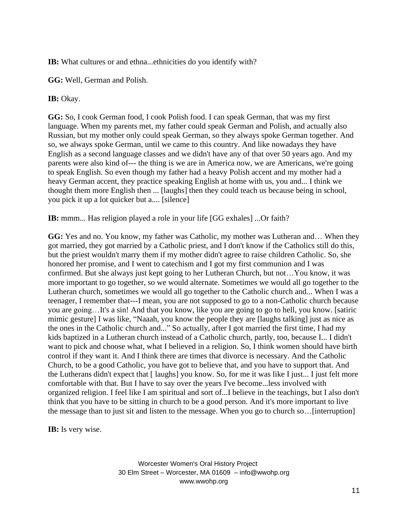**IB:** What cultures or and ethna...ethnicities do you identify with?

**GG:** Well, German and Polish.

**IB:** Okay.

**GG:** So, I cook German food, I cook Polish food. I can speak German, that was my first language. When my parents met, my father could speak German and Polish, and actually also Russian, but my mother only could speak German, so they always spoke German together. And so, we always spoke German, until we came to this country. And like nowadays they have English as a second language classes and we didn't have any of that over 50 years ago. And my parents were also kind of--- the thing is we are in America now, we are Americans, we're going to speak English. So even though my father had a heavy Polish accent and my mother had a heavy German accent, they practice speaking English at home with us, you and... I think we thought them more English then ... [laughs] then they could teach us because being in school, you pick it up a lot quicker but a.... [silence]

**IB:** mmm... Has religion played a role in your life [GG exhales] ...Or faith?

**GG:** Yes and no. You know, my father was Catholic, my mother was Lutheran and… When they got married, they got married by a Catholic priest, and I don't know if the Catholics still do this, but the priest wouldn't marry them if my mother didn't agree to raise children Catholic. So, she honored her promise, and I went to catechism and I got my first communion and I was confirmed. But she always just kept going to her Lutheran Church, but not…You know, it was more important to go together, so we would alternate. Sometimes we would all go together to the Lutheran church, sometimes we would all go together to the Catholic church and... When I was a teenager, I remember that---I mean, you are not supposed to go to a non-Catholic church because you are going…It's a sin! And that you know, like you are going to go to hell, you know. [satiric mimic gesture] I was like, "Naaah, you know the people they are [laughs talking] just as nice as the ones in the Catholic church and..." So actually, after I got married the first time, I had my kids baptized in a Lutheran church instead of a Catholic church, partly, too, because I... I didn't want to pick and choose what, what I believed in a religion. So, I think women should have birth control if they want it. And I think there are times that divorce is necessary. And the Catholic Church, to be a good Catholic, you have got to believe that, and you have to support that. And the Lutherans didn't expect that [ laughs] you know. So, for me it was like I just... I just felt more comfortable with that. But I have to say over the years I've become...less involved with organized religion. I feel like I am spiritual and sort of...I believe in the teachings, but I also don't think that you have to be sitting in church to be a good person. And it's more important to live the message than to just sit and listen to the message. When you go to church so…[interruption]

**IB:** Is very wise.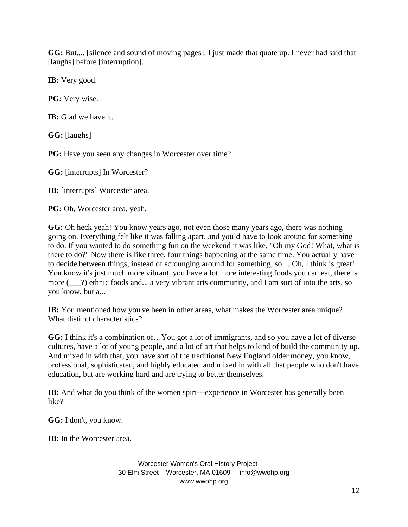**GG:** But.... [silence and sound of moving pages]. I just made that quote up. I never had said that [laughs] before [interruption].

**IB:** Very good.

**PG:** Very wise.

**IB:** Glad we have it.

**GG:** [laughs]

**PG:** Have you seen any changes in Worcester over time?

**GG:** [interrupts] In Worcester?

**IB:** [interrupts] Worcester area.

**PG:** Oh, Worcester area, yeah.

**GG:** Oh heck yeah! You know years ago, not even those many years ago, there was nothing going on. Everything felt like it was falling apart, and you'd have to look around for something to do. If you wanted to do something fun on the weekend it was like, "Oh my God! What, what is there to do?" Now there is like three, four things happening at the same time. You actually have to decide between things, instead of scrounging around for something, so… Oh, I think is great! You know it's just much more vibrant, you have a lot more interesting foods you can eat, there is more ( $\qquad$ ?) ethnic foods and... a very vibrant arts community, and I am sort of into the arts, so you know, but a...

**IB:** You mentioned how you've been in other areas, what makes the Worcester area unique? What distinct characteristics?

**GG:** I think it's a combination of…You got a lot of immigrants, and so you have a lot of diverse cultures, have a lot of young people, and a lot of art that helps to kind of build the community up. And mixed in with that, you have sort of the traditional New England older money, you know, professional, sophisticated, and highly educated and mixed in with all that people who don't have education, but are working hard and are trying to better themselves.

**IB:** And what do you think of the women spiri---experience in Worcester has generally been like?

**GG:** I don't, you know.

**IB:** In the Worcester area.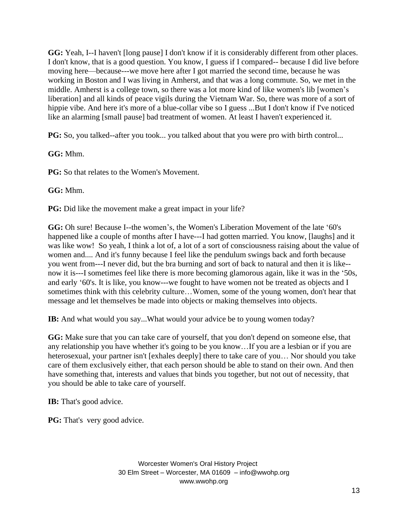**GG:** Yeah, I--I haven't [long pause] I don't know if it is considerably different from other places. I don't know, that is a good question. You know, I guess if I compared-- because I did live before moving here—because---we move here after I got married the second time, because he was working in Boston and I was living in Amherst, and that was a long commute. So, we met in the middle. Amherst is a college town, so there was a lot more kind of like women's lib [women's liberation] and all kinds of peace vigils during the Vietnam War. So, there was more of a sort of hippie vibe. And here it's more of a blue-collar vibe so I guess ...But I don't know if I've noticed like an alarming [small pause] bad treatment of women. At least I haven't experienced it.

**PG:** So, you talked--after you took... you talked about that you were pro with birth control...

**GG:** Mhm.

**PG:** So that relates to the Women's Movement.

**GG:** Mhm.

**PG:** Did like the movement make a great impact in your life?

GG: Oh sure! Because I--the women's, the Women's Liberation Movement of the late '60's happened like a couple of months after I have---I had gotten married. You know, [laughs] and it was like wow! So yeah, I think a lot of, a lot of a sort of consciousness raising about the value of women and.... And it's funny because I feel like the pendulum swings back and forth because you went from---I never did, but the bra burning and sort of back to natural and then it is like- now it is---I sometimes feel like there is more becoming glamorous again, like it was in the '50s, and early '60's. It is like, you know---we fought to have women not be treated as objects and I sometimes think with this celebrity culture…Women, some of the young women, don't hear that message and let themselves be made into objects or making themselves into objects.

**IB:** And what would you say...What would your advice be to young women today?

**GG:** Make sure that you can take care of yourself, that you don't depend on someone else, that any relationship you have whether it's going to be you know…If you are a lesbian or if you are heterosexual, your partner isn't [exhales deeply] there to take care of you… Nor should you take care of them exclusively either, that each person should be able to stand on their own. And then have something that, interests and values that binds you together, but not out of necessity, that you should be able to take care of yourself.

**IB:** That's good advice.

**PG:** That's very good advice.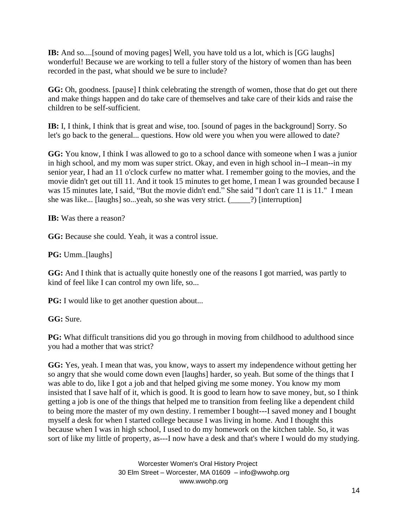**IB:** And so....[sound of moving pages] Well, you have told us a lot, which is [GG laughs] wonderful! Because we are working to tell a fuller story of the history of women than has been recorded in the past, what should we be sure to include?

**GG:** Oh, goodness. [pause] I think celebrating the strength of women, those that do get out there and make things happen and do take care of themselves and take care of their kids and raise the children to be self-sufficient.

**IB:** I, I think, I think that is great and wise, too. [sound of pages in the background] Sorry. So let's go back to the general... questions. How old were you when you were allowed to date?

**GG:** You know, I think I was allowed to go to a school dance with someone when I was a junior in high school, and my mom was super strict. Okay, and even in high school in--I mean--in my senior year, I had an 11 o'clock curfew no matter what. I remember going to the movies, and the movie didn't get out till 11. And it took 15 minutes to get home, I mean I was grounded because I was 15 minutes late, I said, "But the movie didn't end." She said "I don't care 11 is 11." I mean she was like... [laughs] so...yeah, so she was very strict. (\_\_\_\_\_?) [interruption]

**IB:** Was there a reason?

**GG:** Because she could. Yeah, it was a control issue.

**PG:** Umm..[laughs]

**GG:** And I think that is actually quite honestly one of the reasons I got married, was partly to kind of feel like I can control my own life, so...

**PG:** I would like to get another question about...

**GG:** Sure.

**PG:** What difficult transitions did you go through in moving from childhood to adulthood since you had a mother that was strict?

**GG:** Yes, yeah. I mean that was, you know, ways to assert my independence without getting her so angry that she would come down even [laughs] harder, so yeah. But some of the things that I was able to do, like I got a job and that helped giving me some money. You know my mom insisted that I save half of it, which is good. It is good to learn how to save money, but, so I think getting a job is one of the things that helped me to transition from feeling like a dependent child to being more the master of my own destiny. I remember I bought---I saved money and I bought myself a desk for when I started college because I was living in home. And I thought this because when I was in high school, I used to do my homework on the kitchen table. So, it was sort of like my little of property, as---I now have a desk and that's where I would do my studying.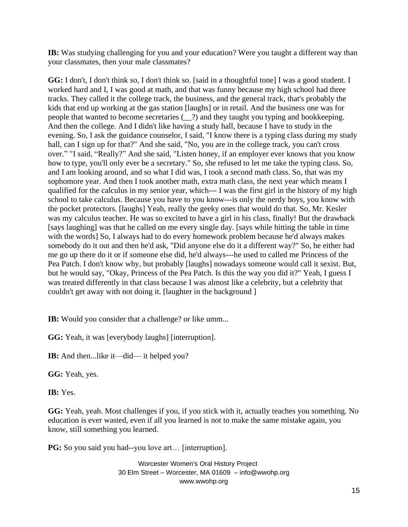**IB:** Was studying challenging for you and your education? Were you taught a different way than your classmates, then your male classmates?

**GG:** I don't, I don't think so, I don't think so. [said in a thoughtful tone] I was a good student. I worked hard and I, I was good at math, and that was funny because my high school had three tracks. They called it the college track, the business, and the general track, that's probably the kids that end up working at the gas station [laughs] or in retail. And the business one was for people that wanted to become secretaries (\_\_?) and they taught you typing and bookkeeping. And then the college. And I didn't like having a study hall, because I have to study in the evening. So, I ask the guidance counselor, I said, "I know there is a typing class during my study hall, can I sign up for that?" And she said, "No, you are in the college track, you can't cross over." "I said, "Really?" And she said, "Listen honey, if an employer ever knows that you know how to type, you'll only ever be a secretary." So, she refused to let me take the typing class. So, and I am looking around, and so what I did was, I took a second math class. So, that was my sophomore year. And then I took another math, extra math class, the next year which means I qualified for the calculus in my senior year, which--- I was the first girl in the history of my high school to take calculus. Because you have to you know---is only the nerdy boys, you know with the pocket protectors. [laughs] Yeah, really the geeky ones that would do that. So, Mr. Kesler was my calculus teacher. He was so excited to have a girl in his class, finally! But the drawback [says laughing] was that he called on me every single day. [says while hitting the table in time with the words] So, I always had to do every homework problem because he'd always makes somebody do it out and then he'd ask, "Did anyone else do it a different way?" So, he either had me go up there do it or if someone else did, he'd always---he used to called me Princess of the Pea Patch. I don't know why, but probably [laughs] nowadays someone would call it sexist. But, but he would say, "Okay, Princess of the Pea Patch. Is this the way you did it?" Yeah, I guess I was treated differently in that class because I was almost like a celebrity, but a celebrity that couldn't get away with not doing it. [laughter in the background ]

**IB:** Would you consider that a challenge? or like umm...

**GG:** Yeah, it was [everybody laughs] [interruption].

**IB:** And then...like it—did— it helped you?

**GG:** Yeah, yes.

**IB:** Yes.

**GG:** Yeah, yeah. Most challenges if you, if you stick with it, actually teaches you something. No education is ever wasted, even if all you learned is not to make the same mistake again, you know, still something you learned.

**PG:** So you said you had--you love art... [interruption].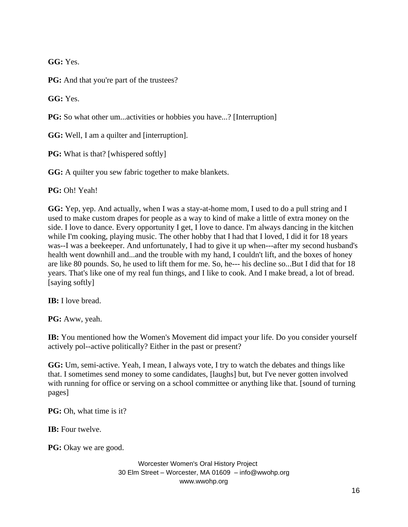**GG:** Yes.

**PG:** And that you're part of the trustees?

**GG:** Yes.

**PG:** So what other um...activities or hobbies you have...? [Interruption]

**GG:** Well, I am a quilter and [interruption].

**PG:** What is that? [whispered softly]

GG: A quilter you sew fabric together to make blankets.

**PG:** Oh! Yeah!

**GG:** Yep, yep. And actually, when I was a stay-at-home mom, I used to do a pull string and I used to make custom drapes for people as a way to kind of make a little of extra money on the side. I love to dance. Every opportunity I get, I love to dance. I'm always dancing in the kitchen while I'm cooking, playing music. The other hobby that I had that I loved, I did it for 18 years was--I was a beekeeper. And unfortunately, I had to give it up when---after my second husband's health went downhill and...and the trouble with my hand, I couldn't lift, and the boxes of honey are like 80 pounds. So, he used to lift them for me. So, he--- his decline so...But I did that for 18 years. That's like one of my real fun things, and I like to cook. And I make bread, a lot of bread. [saying softly]

**IB:** I love bread.

**PG:** Aww, yeah.

**IB:** You mentioned how the Women's Movement did impact your life. Do you consider yourself actively pol--active politically? Either in the past or present?

**GG:** Um, semi-active. Yeah, I mean, I always vote, I try to watch the debates and things like that. I sometimes send money to some candidates, [laughs] but, but I've never gotten involved with running for office or serving on a school committee or anything like that. [sound of turning pages]

**PG:** Oh, what time is it?

**IB:** Four twelve.

**PG:** Okay we are good.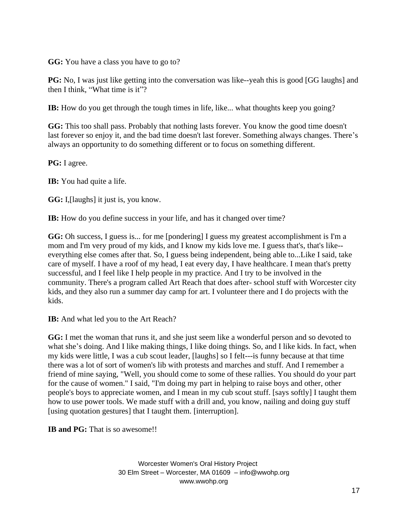**GG:** You have a class you have to go to?

**PG:** No, I was just like getting into the conversation was like--yeah this is good [GG laughs] and then I think, "What time is it"?

**IB:** How do you get through the tough times in life, like... what thoughts keep you going?

**GG:** This too shall pass. Probably that nothing lasts forever. You know the good time doesn't last forever so enjoy it, and the bad time doesn't last forever. Something always changes. There's always an opportunity to do something different or to focus on something different.

**PG:** I agree.

**IB:** You had quite a life.

**GG:** I,[laughs] it just is, you know.

**IB:** How do you define success in your life, and has it changed over time?

**GG:** Oh success, I guess is... for me [pondering] I guess my greatest accomplishment is I'm a mom and I'm very proud of my kids, and I know my kids love me. I guess that's, that's like- everything else comes after that. So, I guess being independent, being able to...Like I said, take care of myself. I have a roof of my head, I eat every day, I have healthcare. I mean that's pretty successful, and I feel like I help people in my practice. And I try to be involved in the community. There's a program called Art Reach that does after- school stuff with Worcester city kids, and they also run a summer day camp for art. I volunteer there and I do projects with the kids.

**IB:** And what led you to the Art Reach?

**GG:** I met the woman that runs it, and she just seem like a wonderful person and so devoted to what she's doing. And I like making things, I like doing things. So, and I like kids. In fact, when my kids were little, I was a cub scout leader, [laughs] so I felt---is funny because at that time there was a lot of sort of women's lib with protests and marches and stuff. And I remember a friend of mine saying, "Well, you should come to some of these rallies. You should do your part for the cause of women." I said, "I'm doing my part in helping to raise boys and other, other people's boys to appreciate women, and I mean in my cub scout stuff. [says softly] I taught them how to use power tools. We made stuff with a drill and, you know, nailing and doing guy stuff [using quotation gestures] that I taught them. [interruption].

**IB and PG:** That is so awesome!!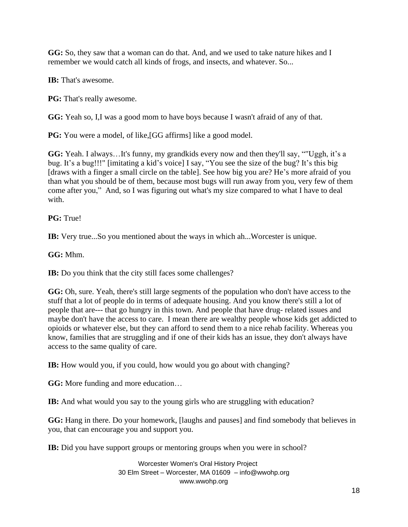**GG:** So, they saw that a woman can do that. And, and we used to take nature hikes and I remember we would catch all kinds of frogs, and insects, and whatever. So...

**IB:** That's awesome.

**PG:** That's really awesome.

**GG:** Yeah so, I,I was a good mom to have boys because I wasn't afraid of any of that.

**PG:** You were a model, of like, [GG affirms] like a good model.

**GG:** Yeah. I always…It's funny, my grandkids every now and then they'll say, ""Uggh, it's a bug. It's a bug!!!" [imitating a kid's voice] I say, "You see the size of the bug? It's this big [draws with a finger a small circle on the table]. See how big you are? He's more afraid of you than what you should be of them, because most bugs will run away from you, very few of them come after you," And, so I was figuring out what's my size compared to what I have to deal with.

**PG:** True!

**IB:** Very true...So you mentioned about the ways in which ah...Worcester is unique.

**GG:** Mhm.

**IB:** Do you think that the city still faces some challenges?

**GG:** Oh, sure. Yeah, there's still large segments of the population who don't have access to the stuff that a lot of people do in terms of adequate housing. And you know there's still a lot of people that are--- that go hungry in this town. And people that have drug- related issues and maybe don't have the access to care. I mean there are wealthy people whose kids get addicted to opioids or whatever else, but they can afford to send them to a nice rehab facility. Whereas you know, families that are struggling and if one of their kids has an issue, they don't always have access to the same quality of care.

**IB:** How would you, if you could, how would you go about with changing?

**GG:** More funding and more education…

**IB:** And what would you say to the young girls who are struggling with education?

**GG:** Hang in there. Do your homework, [laughs and pauses] and find somebody that believes in you, that can encourage you and support you.

**IB:** Did you have support groups or mentoring groups when you were in school?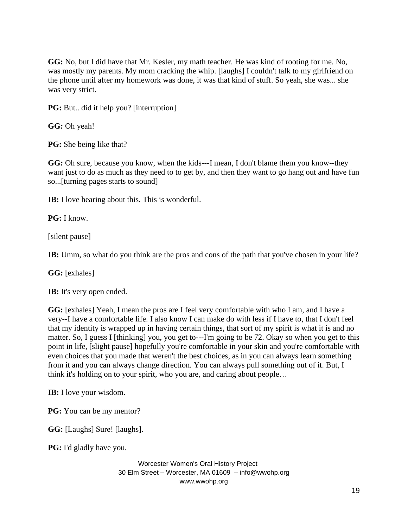**GG:** No, but I did have that Mr. Kesler, my math teacher. He was kind of rooting for me. No, was mostly my parents. My mom cracking the whip. [laughs] I couldn't talk to my girlfriend on the phone until after my homework was done, it was that kind of stuff. So yeah, she was... she was very strict.

**PG:** But.. did it help you? [interruption]

**GG:** Oh yeah!

**PG:** She being like that?

**GG:** Oh sure, because you know, when the kids---I mean, I don't blame them you know--they want just to do as much as they need to to get by, and then they want to go hang out and have fun so...[turning pages starts to sound]

**IB:** I love hearing about this. This is wonderful.

**PG:** I know.

[silent pause]

**IB:** Umm, so what do you think are the pros and cons of the path that you've chosen in your life?

**GG:** [exhales]

**IB:** It's very open ended.

**GG:** [exhales] Yeah, I mean the pros are I feel very comfortable with who I am, and I have a very--I have a comfortable life. I also know I can make do with less if I have to, that I don't feel that my identity is wrapped up in having certain things, that sort of my spirit is what it is and no matter. So, I guess I [thinking] you, you get to---I'm going to be 72. Okay so when you get to this point in life, [slight pause] hopefully you're comfortable in your skin and you're comfortable with even choices that you made that weren't the best choices, as in you can always learn something from it and you can always change direction. You can always pull something out of it. But, I think it's holding on to your spirit, who you are, and caring about people…

**IB:** I love your wisdom.

**PG:** You can be my mentor?

**GG:** [Laughs] Sure! [laughs].

**PG:** I'd gladly have you.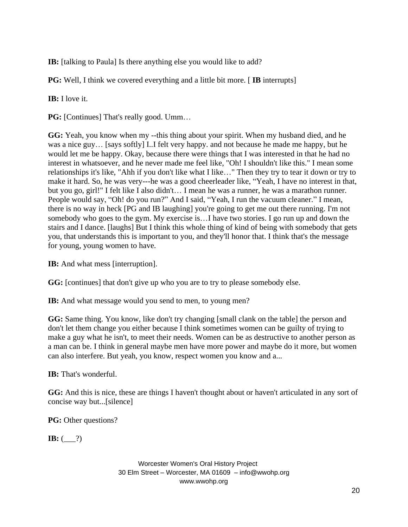**IB:** [talking to Paula] Is there anything else you would like to add?

**PG:** Well, I think we covered everything and a little bit more. [IB interrupts]

**IB:** I love it.

**PG:** [Continues] That's really good. Umm...

**GG:** Yeah, you know when my --this thing about your spirit. When my husband died, and he was a nice guy… [says softly] I..I felt very happy. and not because he made me happy, but he would let me be happy. Okay, because there were things that I was interested in that he had no interest in whatsoever, and he never made me feel like, "Oh! I shouldn't like this." I mean some relationships it's like, "Ahh if you don't like what I like…" Then they try to tear it down or try to make it hard. So, he was very---he was a good cheerleader like, "Yeah, I have no interest in that, but you go, girl!" I felt like I also didn't… I mean he was a runner, he was a marathon runner. People would say, "Oh! do you run?" And I said, "Yeah, I run the vacuum cleaner." I mean, there is no way in heck [PG and IB laughing] you're going to get me out there running. I'm not somebody who goes to the gym. My exercise is…I have two stories. I go run up and down the stairs and I dance. [laughs] But I think this whole thing of kind of being with somebody that gets you, that understands this is important to you, and they'll honor that. I think that's the message for young, young women to have.

**IB:** And what mess [interruption].

**GG:** [continues] that don't give up who you are to try to please somebody else.

**IB:** And what message would you send to men, to young men?

**GG:** Same thing. You know, like don't try changing [small clank on the table] the person and don't let them change you either because I think sometimes women can be guilty of trying to make a guy what he isn't, to meet their needs. Women can be as destructive to another person as a man can be. I think in general maybe men have more power and maybe do it more, but women can also interfere. But yeah, you know, respect women you know and a...

**IB:** That's wonderful.

**GG:** And this is nice, these are things I haven't thought about or haven't articulated in any sort of concise way but...[silence]

**PG:** Other questions?

**IB:**  $($  ( $?$ )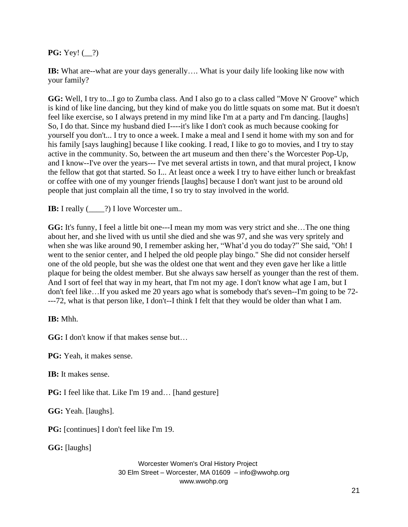**PG:**  $\text{Yey!} (\_\!\_?)$ 

**IB:** What are--what are your days generally.... What is your daily life looking like now with your family?

**GG:** Well, I try to...I go to Zumba class. And I also go to a class called "Move N' Groove" which is kind of like line dancing, but they kind of make you do little squats on some mat. But it doesn't feel like exercise, so I always pretend in my mind like I'm at a party and I'm dancing. [laughs] So, I do that. Since my husband died I----it's like I don't cook as much because cooking for yourself you don't... I try to once a week. I make a meal and I send it home with my son and for his family [says laughing] because I like cooking. I read, I like to go to movies, and I try to stay active in the community. So, between the art museum and then there's the Worcester Pop-Up, and I know--I've over the years--- I've met several artists in town, and that mural project, I know the fellow that got that started. So I... At least once a week I try to have either lunch or breakfast or coffee with one of my younger friends [laughs] because I don't want just to be around old people that just complain all the time, I so try to stay involved in the world.

**IB:** I really (2002) I love Worcester um...

**GG:** It's funny, I feel a little bit one---I mean my mom was very strict and she…The one thing about her, and she lived with us until she died and she was 97, and she was very spritely and when she was like around 90, I remember asking her, "What'd you do today?" She said, "Oh! I went to the senior center, and I helped the old people play bingo." She did not consider herself one of the old people, but she was the oldest one that went and they even gave her like a little plaque for being the oldest member. But she always saw herself as younger than the rest of them. And I sort of feel that way in my heart, that I'm not my age. I don't know what age I am, but I don't feel like…If you asked me 20 years ago what is somebody that's seven--I'm going to be 72- ---72, what is that person like, I don't--I think I felt that they would be older than what I am.

**IB:** Mhh.

**GG:** I don't know if that makes sense but…

**PG:** Yeah, it makes sense.

**IB:** It makes sense.

**PG:** I feel like that. Like I'm 19 and... [hand gesture]

**GG:** Yeah. [laughs].

**PG:** [continues] I don't feel like I'm 19.

**GG:** [laughs]